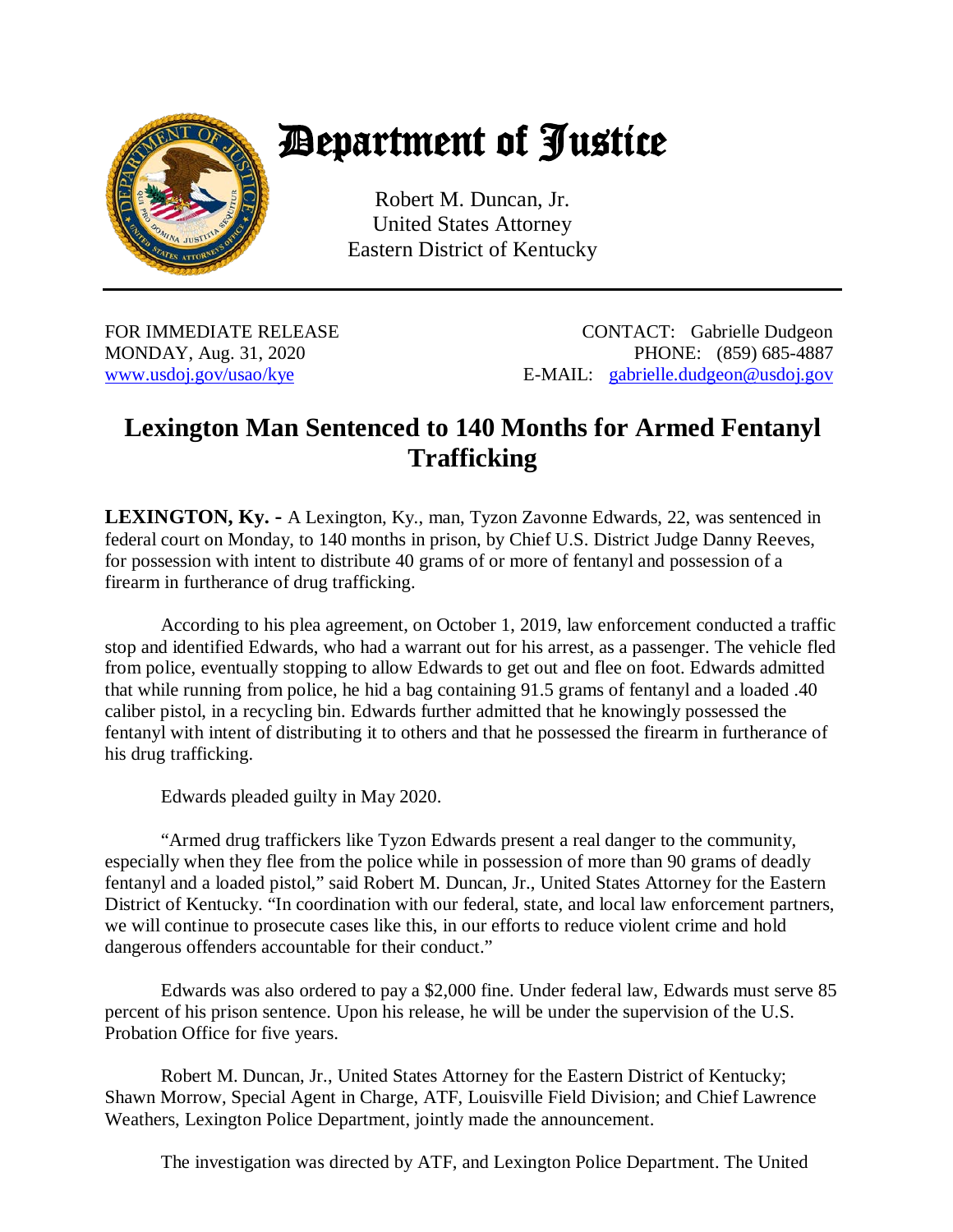

## Department of Justice

Robert M. Duncan, Jr. United States Attorney Eastern District of Kentucky

FOR IMMEDIATE RELEASE CONTACT: Gabrielle Dudgeon MONDAY, Aug. 31, 2020 **PHONE:** (859) 685-4887 [www.usdoj.gov/usao/kye](http://www.usdoj.gov/usao/kye) E-MAIL: [gabrielle.dudgeon@usdoj.gov](mailto:gabrielle.dudgeon@usdoj.gov)

## **Lexington Man Sentenced to 140 Months for Armed Fentanyl Trafficking**

**LEXINGTON, Ky.** - A Lexington, Ky., man, Tyzon Zavonne Edwards, 22, was sentenced in federal court on Monday, to 140 months in prison, by Chief U.S. District Judge Danny Reeves, for possession with intent to distribute 40 grams of or more of fentanyl and possession of a firearm in furtherance of drug trafficking.

According to his plea agreement, on October 1, 2019, law enforcement conducted a traffic stop and identified Edwards, who had a warrant out for his arrest, as a passenger. The vehicle fled from police, eventually stopping to allow Edwards to get out and flee on foot. Edwards admitted that while running from police, he hid a bag containing 91.5 grams of fentanyl and a loaded .40 caliber pistol, in a recycling bin. Edwards further admitted that he knowingly possessed the fentanyl with intent of distributing it to others and that he possessed the firearm in furtherance of his drug trafficking.

Edwards pleaded guilty in May 2020.

"Armed drug traffickers like Tyzon Edwards present a real danger to the community, especially when they flee from the police while in possession of more than 90 grams of deadly fentanyl and a loaded pistol," said Robert M. Duncan, Jr., United States Attorney for the Eastern District of Kentucky. "In coordination with our federal, state, and local law enforcement partners, we will continue to prosecute cases like this, in our efforts to reduce violent crime and hold dangerous offenders accountable for their conduct."

Edwards was also ordered to pay a \$2,000 fine. Under federal law, Edwards must serve 85 percent of his prison sentence. Upon his release, he will be under the supervision of the U.S. Probation Office for five years.

Robert M. Duncan, Jr., United States Attorney for the Eastern District of Kentucky; Shawn Morrow, Special Agent in Charge, ATF, Louisville Field Division; and Chief Lawrence Weathers, Lexington Police Department, jointly made the announcement.

The investigation was directed by ATF, and Lexington Police Department. The United